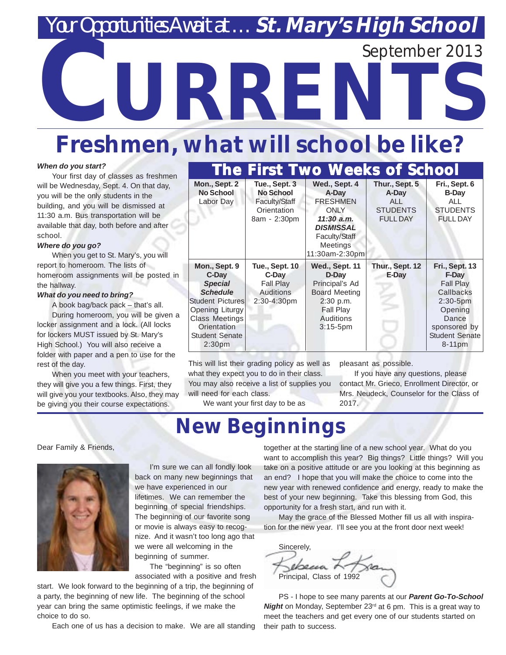### *Yar Opportunities Await at ... St. Mary's High School*

September 2013

# **KKE**

### **Freshmen, what will school be like?**

#### *When do you start?*

Your first day of classes as freshmen will be Wednesday, Sept. 4. On that day, you will be the only students in the building, and you will be dismissed at 11:30 a.m. Bus transportation will be available that day, both before and after school.

#### *Where do you go?*

When you get to St. Mary's, you will report to homeroom. The lists of homeroom assignments will be posted in the hallway.

#### *What do you need to bring?*

A book bag/back pack – that's all. During homeroom, you will be given a locker assignment and a lock. (All locks for lockers MUST issued by St. Mary's

High School.) You will also receive a folder with paper and a pen to use for the rest of the day.

When you meet with your teachers, they will give you a few things. First, they will give you your textbooks. Also, they may be giving you their course expectations.

|                                                                                                                                                                                                  | <b>The First Two Weeks of School</b>                                                  |                                                                                                                                                    |                                                                      |                                                                                                                                                           |  |
|--------------------------------------------------------------------------------------------------------------------------------------------------------------------------------------------------|---------------------------------------------------------------------------------------|----------------------------------------------------------------------------------------------------------------------------------------------------|----------------------------------------------------------------------|-----------------------------------------------------------------------------------------------------------------------------------------------------------|--|
| Mon., Sept. 2<br><b>No School</b><br>Labor Day                                                                                                                                                   | Tue., Sept. 3<br><b>No School</b><br>Faculty/Staff<br>Orientation<br>8am - 2:30pm     | Wed., Sept. 4<br>A-Day<br><b>FRESHMEN</b><br><b>ONLY</b><br>$11:30$ a.m.<br><b>DISMISSAL</b><br>Faculty/Staff<br><b>Meetings</b><br>11:30am-2:30pm | Thur., Sept. 5<br>A-Day<br>ALL<br><b>STUDENTS</b><br><b>FULL DAY</b> | Fri., Sept. 6<br><b>B-Day</b><br>AL L<br><b>STUDENTS</b><br><b>FULL DAY</b>                                                                               |  |
| Mon., Sept. 9<br>C-Day<br><b>Special</b><br><b>Schedule</b><br><b>Student Pictures</b><br>Opening Liturgy<br><b>Class Meetings</b><br>Orientation<br><b>Student Senate</b><br>2:30 <sub>pm</sub> | <b>Tue., Sept. 10</b><br>C-Day<br><b>Fall Play</b><br><b>Auditions</b><br>2:30-4:30pm | Wed., Sept. 11<br>D-Day<br>Principal's Ad<br><b>Board Meeting</b><br>2:30 p.m.<br><b>Fall Play</b><br><b>Auditions</b><br>$3:15-5$ pm              | Thur., Sept. 12<br>E-Day                                             | <b>Fri., Sept. 13</b><br>F-Day<br><b>Fall Play</b><br>Callbacks<br>$2:30 - 5pm$<br>Opening<br>Dance<br>sponsored by<br><b>Student Senate</b><br>$8-11$ pm |  |

This will list their grading policy as well as what they expect you to do in their class. You may also receive a list of supplies you will need for each class.

pleasant as possible.

If you have any questions, please contact Mr. Grieco, Enrollment Director, or Mrs. Neudeck, Counselor for the Class of 2017.

We want your first day to be as

### **New Beginnings**

Dear Family & Friends,



I'm sure we can all fondly look back on many new beginnings that we have experienced in our lifetimes. We can remember the beginning of special friendships. The beginning of our favorite song or movie is always easy to recognize. And it wasn't too long ago that we were all welcoming in the beginning of summer.

The "beginning" is so often associated with a positive and fresh

start. We look forward to the beginning of a trip, the beginning of a party, the beginning of new life. The beginning of the school year can bring the same optimistic feelings, if we make the choice to do so.

Each one of us has a decision to make. We are all standing

together at the starting line of a new school year. What do you want to accomplish this year? Big things? Little things? Will you take on a positive attitude or are you looking at this beginning as an end? I hope that you will make the choice to come into the new year with renewed confidence and energy, ready to make the best of your new beginning. Take this blessing from God, this opportunity for a fresh start, and run with it.

May the grace of the Blessed Mother fill us all with inspiration for the new year. I'll see you at the front door next week!

Sincerely, ebena, Principal, Class of 19

PS - I hope to see many parents at our *Parent Go-To-School Night* on Monday, September 23<sup>rd</sup> at 6 pm. This is a great way to meet the teachers and get every one of our students started on their path to success.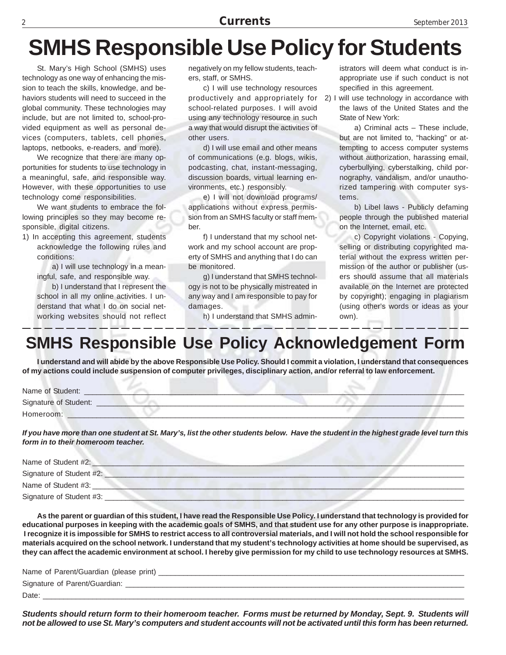### **SMHS Responsible Use Policy for Students**

St. Mary's High School (SMHS) uses technology as one way of enhancing the mission to teach the skills, knowledge, and behaviors students will need to succeed in the global community. These technologies may include, but are not limited to, school-provided equipment as well as personal devices (computers, tablets, cell phones, laptops, netbooks, e-readers, and more).

We recognize that there are many opportunities for students to use technology in a meaningful, safe, and responsible way. However, with these opportunities to use technology come responsibilities.

We want students to embrace the following principles so they may become responsible, digital citizens.

1) In accepting this agreement, students acknowledge the following rules and conditions:

> a) I will use technology in a meaningful, safe, and responsible way.

> b) I understand that I represent the school in all my online activities. I understand that what I do on social networking websites should not reflect

negatively on my fellow students, teachers, staff, or SMHS.

c) I will use technology resources productively and appropriately for school-related purposes. I will avoid using any technology resource in such a way that would disrupt the activities of other users.

d) I will use email and other means of communications (e.g. blogs, wikis, podcasting, chat, instant-messaging, discussion boards, virtual learning environments, etc.) responsibly.

e) I will not download programs/ applications without express permission from an SMHS faculty or staff member.

f) I understand that my school network and my school account are property of SMHS and anything that I do can be monitored.

g) I understand that SMHS technology is not to be physically mistreated in any way and I am responsible to pay for damages.

h) I understand that SMHS admin-

istrators will deem what conduct is inappropriate use if such conduct is not specified in this agreement.

2) I will use technology in accordance with the laws of the United States and the State of New York:

> a) Criminal acts – These include, but are not limited to, "hacking" or attempting to access computer systems without authorization, harassing email, cyberbullying, cyberstalking, child pornography, vandalism, and/or unauthorized tampering with computer systems.

> b) Libel laws - Publicly defaming people through the published material on the Internet, email, etc.

> c) Copyright violations - Copying, selling or distributing copyrighted material without the express written permission of the author or publisher (users should assume that all materials available on the Internet are protected by copyright); engaging in plagiarism (using other's words or ideas as your own).

#### **SMHS Responsible Use Policy Acknowledgement Form**

**I understand and will abide by the above Responsible Use Policy. Should I commit a violation, I understand that consequences of my actions could include suspension of computer privileges, disciplinary action, and/or referral to law enforcement.**

| Name of Student:      |  |
|-----------------------|--|
| Signature of Student: |  |
| Homeroom:             |  |

*If you have more than one student at St. Mary's, list the other students below. Have the student in the highest grade level turn this form in to their homeroom teacher.*

| Name of Student #2:      |  |
|--------------------------|--|
| Signature of Student #2: |  |
| Name of Student #3:      |  |
| Signature of Student #3: |  |

**As the parent or guardian of this student, I have read the Responsible Use Policy. I understand that technology is provided for educational purposes in keeping with the academic goals of SMHS, and that student use for any other purpose is inappropriate. I recognize it is impossible for SMHS to restrict access to all controversial materials, and I will not hold the school responsible for materials acquired on the school network. I understand that my student's technology activities at home should be supervised, as they can affect the academic environment at school. I hereby give permission for my child to use technology resources at SMHS.**

| Name of Parent/Guardian (please print) |
|----------------------------------------|
| Signature of Parent/Guardian:          |
| Date                                   |

*Students should return form to their homeroom teacher. Forms must be returned by Monday, Sept. 9. Students will not be allowed to use St. Mary's computers and student accounts will not be activated until this form has been returned.*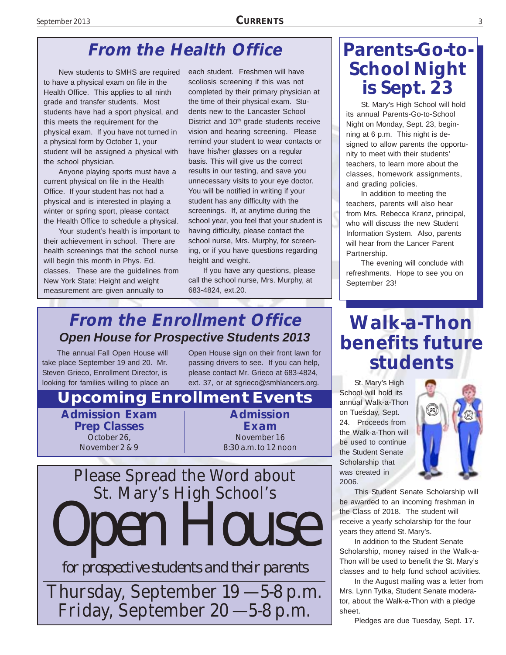#### **From the Health Office**

New students to SMHS are required to have a physical exam on file in the Health Office. This applies to all ninth grade and transfer students. Most students have had a sport physical, and this meets the requirement for the physical exam. If you have not turned in a physical form by October 1, your student will be assigned a physical with the school physician.

Anyone playing sports must have a current physical on file in the Health Office. If your student has not had a physical and is interested in playing a winter or spring sport, please contact the Health Office to schedule a physical.

Your student's health is important to their achievement in school. There are health screenings that the school nurse will begin this month in Phys. Ed. classes. These are the guidelines from New York State: Height and weight measurement are given annually to

each student. Freshmen will have scoliosis screening if this was not completed by their primary physician at the time of their physical exam. Students new to the Lancaster School District and 10<sup>th</sup> grade students receive vision and hearing screening. Please remind your student to wear contacts or have his/her glasses on a regular basis. This will give us the correct results in our testing, and save you unnecessary visits to your eye doctor. You will be notified in writing if your student has any difficulty with the screenings. If, at anytime during the school year, you feel that your student is having difficulty, please contact the school nurse, Mrs. Murphy, for screening, or if you have questions regarding height and weight.

If you have any questions, please call the school nurse, Mrs. Murphy, at 683-4824, ext.20.

#### **From the Enrollment Office** *Open House for Prospective Students 2013*

The annual Fall Open House will take place September 19 and 20. Mr. Steven Grieco, Enrollment Director, is looking for families willing to place an Open House sign on their front lawn for passing drivers to see. If you can help, please contact Mr. Grieco at 683-4824, ext. 37, or at sgrieco@smhlancers.org.

#### **Admission Exam Prep Classes** October 26, November 2 & 9 **Admission Exam** November 16 8:30 a.m. to 12 noon **Upcoming Enrollment Events** Please Spread the Word about



*for prospective students and their parents*

Thursday, September 19 — 5-8 p.m. Friday, September 20 — 5-8 p.m.

#### **Parents-Go-to-School Night is Sept. 23**

St. Mary's High School will hold its annual Parents-Go-to-School Night on Monday, Sept. 23, beginning at 6 p.m. This night is designed to allow parents the opportunity to meet with their students' teachers, to learn more about the classes, homework assignments, and grading policies.

In addition to meeting the teachers, parents will also hear from Mrs. Rebecca Kranz, principal, who will discuss the new Student Information System. Also, parents will hear from the Lancer Parent Partnership.

The evening will conclude with refreshments. Hope to see you on September 23!

### **Walk-a-Thon benefits future students**

St. Mary's High School will hold its annual Walk-a-Thon on Tuesday, Sept. 24. Proceeds from the Walk-a-Thon will be used to continue the Student Senate Scholarship that was created in 2006.



This Student Senate Scholarship will be awarded to an incoming freshman in the Class of 2018. The student will receive a yearly scholarship for the four years they attend St. Mary's.

In addition to the Student Senate Scholarship, money raised in the Walk-a-Thon will be used to benefit the St. Mary's classes and to help fund school activities.

In the August mailing was a letter from Mrs. Lynn Tytka, Student Senate moderator, about the Walk-a-Thon with a pledge sheet.

Pledges are due Tuesday, Sept. 17.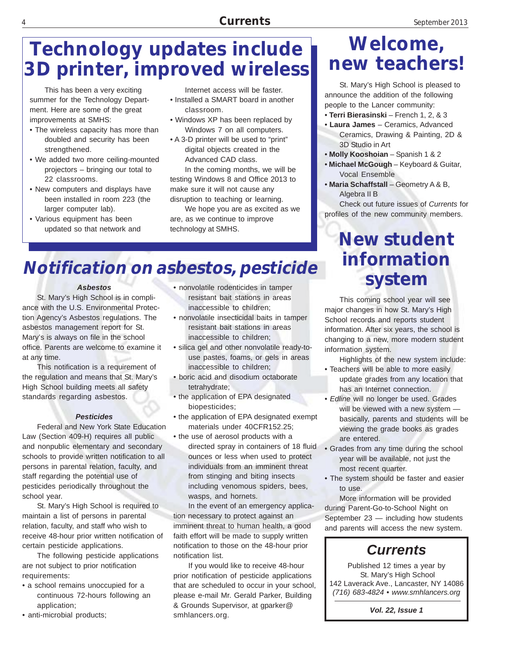### **Technology updates include 3D printer, improved wireless**

This has been a very exciting summer for the Technology Department. Here are some of the great improvements at SMHS:

- The wireless capacity has more than doubled and security has been strengthened.
- We added two more ceiling-mounted projectors – bringing our total to 22 classrooms.
- New computers and displays have been installed in room 223 (the larger computer lab).
- Various equipment has been updated so that network and

Internet access will be faster.

- Installed a SMART board in another classroom.
- Windows XP has been replaced by Windows 7 on all computers.
- A 3-D printer will be used to "print" digital objects created in the Advanced CAD class.

In the coming months, we will be testing Windows 8 and Office 2013 to make sure it will not cause any disruption to teaching or learning.

We hope you are as excited as we are, as we continue to improve technology at SMHS.

#### **Notification on asbestos, pesticide**

#### *Asbestos*

St. Mary's High School is in compliance with the U.S. Environmental Protection Agency's Asbestos regulations. The asbestos management report for St. Mary's is always on file in the school office. Parents are welcome to examine it at any time.

This notification is a requirement of the regulation and means that St. Mary's High School building meets all safety standards regarding asbestos.

#### *Pesticides*

Federal and New York State Education Law (Section 409-H) requires all public and nonpublic elementary and secondary schools to provide written notification to all persons in parental relation, faculty, and staff regarding the potential use of pesticides periodically throughout the school year.

St. Mary's High School is required to maintain a list of persons in parental relation, faculty, and staff who wish to receive 48-hour prior written notification of certain pesticide applications.

The following pesticide applications are not subject to prior notification requirements:

- a school remains unoccupied for a continuous 72-hours following an application;
- anti-microbial products;
- nonvolatile rodenticides in tamper resistant bait stations in areas inaccessible to children;
- nonvolatile insecticidal baits in tamper resistant bait stations in areas inaccessible to children;
- silica gel and other nonvolatile ready-touse pastes, foams, or gels in areas inaccessible to children;
- boric acid and disodium octaborate tetrahydrate;
- the application of EPA designated biopesticides;
- the application of EPA designated exempt materials under 40CFR152.25;
- the use of aerosol products with a directed spray in containers of 18 fluid ounces or less when used to protect individuals from an imminent threat from stinging and biting insects including venomous spiders, bees, wasps, and hornets.

In the event of an emergency application necessary to protect against an imminent threat to human health, a good faith effort will be made to supply written notification to those on the 48-hour prior notification list.

If you would like to receive 48-hour prior notification of pesticide applications that are scheduled to occur in your school, please e-mail Mr. Gerald Parker, Building & Grounds Supervisor, at gparker@ smhlancers.org.

#### **Welcome, new teachers!**

St. Mary's High School is pleased to announce the addition of the following people to the Lancer community:

- **Terri Bierasinski** French 1, 2, & 3
- **Laura James**  Ceramics, Advanced Ceramics, Drawing & Painting, 2D & 3D Studio in Art
- **Molly Kooshoian**  Spanish 1 & 2
- **Michael McGough**  Keyboard & Guitar, Vocal Ensemble
- **Maria Schaffstall** Geometry A & B, Algebra II B

Check out future issues of *Currents* for profiles of the new community members.

### **New student information system**

This coming school year will see major changes in how St. Mary's High School records and reports student information. After six years, the school is changing to a new, more modern student information system.

Highlights of the new system include:

- Teachers will be able to more easily update grades from any location that has an Internet connection.
- *Edline* will no longer be used. Grades will be viewed with a new system basically, parents and students will be viewing the grade books as grades are entered.
- Grades from any time during the school year will be available, not just the most recent quarter.
- The system should be faster and easier to use.

More information will be provided during Parent-Go-to-School Night on September 23 — including how students and parents will access the new system.

#### *Currents*

Published 12 times a year by St. Mary's High School 142 Laverack Ave., Lancaster, NY 14086 *(716) 683-4824 • www.smhlancers.org*

*Vol. 22, Issue 1*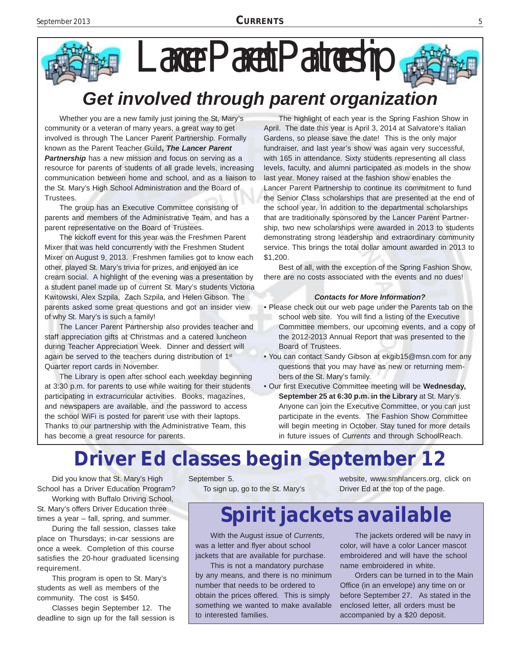## Lancer Parent Partnership



Whether you are a new family just joining the St, Mary's community or a veteran of many years, a great way to get involved is through The Lancer Parent Partnership. Formally known as the Parent Teacher Guild**,** *The Lancer Parent* **Partnership** has a new mission and focus on serving as a resource for parents of students of all grade levels, increasing communication between home and school, and as a liaison to the St. Mary's High School Administration and the Board of Trustees.

The group has an Executive Committee consisting of parents and members of the Administrative Team, and has a parent representative on the Board of Trustees.

The kickoff event for this year was the Freshmen Parent Mixer that was held concurrently with the Freshmen Student Mixer on August 9, 2013. Freshmen families got to know each other, played St. Mary's trivia for prizes, and enjoyed an ice cream social. A highlight of the evening was a presentation by a student panel made up of current St. Mary's students Victoria Kwitowski, Alex Szpila, Zach Szpila, and Helen Gibson. The parents asked some great questions and got an insider view of why St. Mary's is such a family!

The Lancer Parent Partnership also provides teacher and staff appreciation gifts at Christmas and a catered luncheon during Teacher Appreciation Week. Dinner and dessert will again be served to the teachers during distribution of 1<sup>st</sup> Quarter report cards in November.

The Library is open after school each weekday beginning at 3:30 p.m. for parents to use while waiting for their students participating in extracurricular activities. Books, magazines, and newspapers are available, and the password to access the school WiFi is posted for parent use with their laptops. Thanks to our partnership with the Administrative Team, this has become a great resource for parents.

The highlight of each year is the Spring Fashion Show in April. The date this year is April 3, 2014 at Salvatore's Italian Gardens, so please save the date! This is the only major fundraiser, and last year's show was again very successful, with 165 in attendance. Sixty students representing all class levels, faculty, and alumni participated as models in the show last year. Money raised at the fashion show enables the Lancer Parent Partnership to continue its commitment to fund the Senior Class scholarships that are presented at the end of the school year. In addition to the departmental scholarships that are traditionally sponsored by the Lancer Parent Partnership, two new scholarships were awarded in 2013 to students demonstrating strong leadership and extraordinary community service. This brings the total dollar amount awarded in 2013 to \$1,200.

Best of all, with the exception of the Spring Fashion Show, there are no costs associated with the events and no dues!

#### *Contacts for More Information?*

- Please check out our web page under the Parents tab on the school web site. You will find a listing of the Executive Committee members, our upcoming events, and a copy of the 2012-2013 Annual Report that was presented to the Board of Trustees.
- You can contact Sandy Gibson at ekgib15@msn.com for any questions that you may have as new or returning members of the St. Mary's family.
- Our first Executive Committee meeting will be **Wednesday, September 25 at 6:30 p.m. in the Library** at St. Mary's. Anyone can join the Executive Committee, or you can just participate in the events. The Fashion Show Committee will begin meeting in October. Stay tuned for more details in future issues of *Currents* and through SchoolReach.

### **Driver Ed classes begin September 12**

Did you know that St. Mary's High School has a Driver Education Program?

Working with Buffalo Driving School, St. Mary's offers Driver Education three times a year – fall, spring, and summer.

During the fall session, classes take place on Thursdays; in-car sessions are once a week. Completion of this course satisfies the 20-hour graduated licensing requirement.

This program is open to St. Mary's students as well as members of the community. The cost is \$450.

Classes begin September 12. The deadline to sign up for the fall session is September 5. To sign up, go to the St. Mary's website, www.smhlancers.org, click on Driver Ed at the top of the page.

### **Spirit jackets available**

With the August issue of *Currents*, was a letter and flyer about school jackets that are available for purchase.

This is not a mandatory purchase by any means, and there is no minimum number that needs to be ordered to obtain the prices offered. This is simply something we wanted to make available to interested families.

The jackets ordered will be navy in color, will have a color Lancer mascot embroidered and will have the school name embroidered in white.

Orders can be turned in to the Main Office (in an envelope) any time on or before September 27. As stated in the enclosed letter, all orders must be accompanied by a \$20 deposit.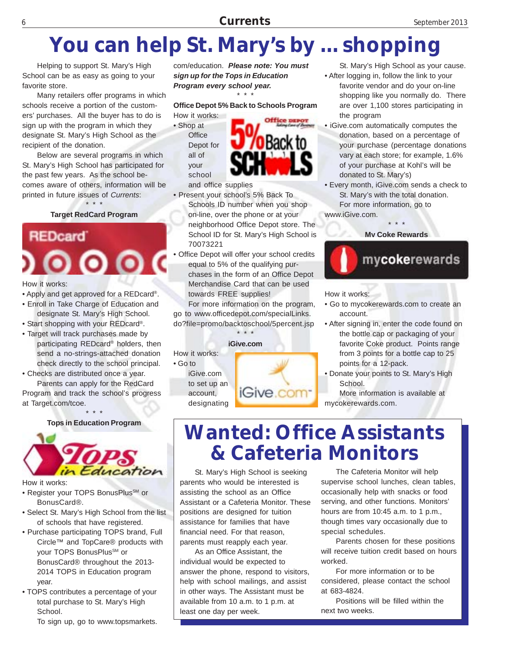### **You can help St. Mary's by ... shopping**

Helping to support St. Mary's High School can be as easy as going to your favorite store.

Many retailers offer programs in which schools receive a portion of the customers' purchases. All the buyer has to do is sign up with the program in which they designate St. Mary's High School as the recipient of the donation.

Below are several programs in which St. Mary's High School has participated for the past few years. As the school becomes aware of others, information will be printed in future issues of *Currents*:

> \* \* \* **Target RedCard Program**

**REDcard** 000

How it works:

- Apply and get approved for a REDcard®.
- Enroll in Take Charge of Education and designate St. Mary's High School.
- Start shopping with your REDcard®.
- Target will track purchases made by participating REDcard® holders, then send a no-strings-attached donation check directly to the school principal.
- Checks are distributed once a year. Parents can apply for the RedCard Program and track the school's progress at Target.com/tcoe.

\* \* \* **Tops in Education Program**



How it works:

- Register your TOPS BonusPlus<sup>SM</sup> or BonusCard®.
- Select St. Mary's High School from the list of schools that have registered.
- Purchase participating TOPS brand, Full Circle™ and TopCare® products with your TOPS BonusPlus<sup>SM</sup> or BonusCard® throughout the 2013- 2014 TOPS in Education program year.
- TOPS contributes a percentage of your total purchase to St. Mary's High School.
	- To sign up, go to www.topsmarkets.

com/education. *Please note: You must sign up for the Tops in Education Program every school year.* \* \* \*

**Office Depot 5% Back to Schools Program**

How it works: • Shop at **Office** Depot for all of your school



and office supplies

- Present your school's 5% Back To Schools ID number when you shop on-line, over the phone or at your neighborhood Office Depot store. The School ID for St. Mary's High School is 70073221
- Office Depot will offer your school credits equal to 5% of the qualifying purchases in the form of an Office Depot Merchandise Card that can be used towards FREE supplies!

For more information on the program, go to www.officedepot.com/specialLinks. do?file=promo/backtoschool/5percent.jsp

\* \* \*

#### **iGive.com**

How it works:

• Go to iGive.com to set up an account, designating iGive.com

St. Mary's High School as your cause. • After logging in, follow the link to your favorite vendor and do your on-line

shopping like you normally do. There are over 1,100 stores participating in the program

- iGive.com automatically computes the donation, based on a percentage of your purchase (percentage donations vary at each store; for example, 1.6% of your purchase at Kohl's will be donated to St. Mary's)
- Every month, iGive.com sends a check to St. Mary's with the total donation. For more information, go to

www.iGive.com.



How it works:

- Go to mycokerewards.com to create an account.
- After signing in, enter the code found on the bottle cap or packaging of your favorite Coke product. Points range from 3 points for a bottle cap to 25 points for a 12-pack.
- Donate your points to St. Mary's High School.

More information is available at mycokerewards.com.

### **Wanted: Office Assistants & Cafeteria Monitors**

St. Mary's High School is seeking parents who would be interested is assisting the school as an Office Assistant or a Cafeteria Monitor. These positions are designed for tuition assistance for families that have financial need. For that reason, parents must reapply each year.

As an Office Assistant, the individual would be expected to answer the phone, respond to visitors, help with school mailings, and assist in other ways. The Assistant must be available from 10 a.m. to 1 p.m. at least one day per week.

The Cafeteria Monitor will help supervise school lunches, clean tables, occasionally help with snacks or food serving, and other functions. Monitors' hours are from 10:45 a.m. to 1 p.m., though times vary occasionally due to special schedules.

Parents chosen for these positions will receive tuition credit based on hours worked.

For more information or to be considered, please contact the school at 683-4824.

Positions will be filled within the next two weeks.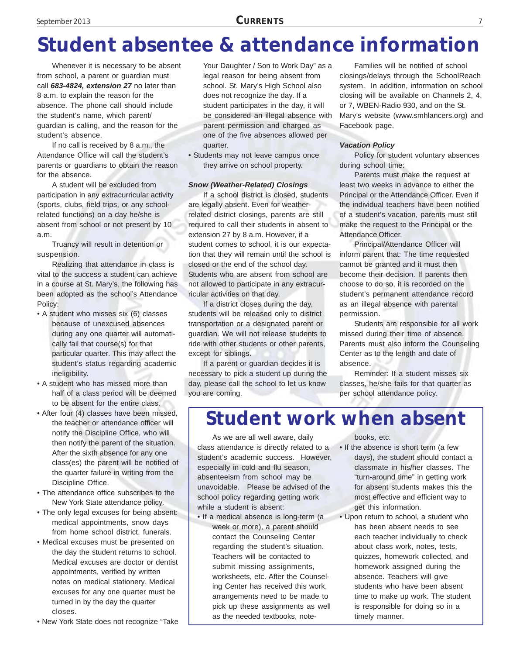### **Student absentee & attendance information**

Whenever it is necessary to be absent from school, a parent or guardian must call *683-4824, extension 27* no later than 8 a.m. to explain the reason for the absence. The phone call should include the student's name, which parent/ guardian is calling, and the reason for the student's absence.

If no call is received by 8 a.m., the Attendance Office will call the student's parents or guardians to obtain the reason for the absence.

A student will be excluded from participation in any extracurricular activity (sports, clubs, field trips, or any schoolrelated functions) on a day he/she is absent from school or not present by 10 a.m.

Truancy will result in detention or suspension.

Realizing that attendance in class is vital to the success a student can achieve in a course at St. Mary's, the following has been adopted as the school's Attendance Policy:

- A student who misses six (6) classes because of unexcused absences during any one quarter will automatically fail that course(s) for that particular quarter. This may affect the student's status regarding academic ineligibility.
- A student who has missed more than half of a class period will be deemed to be absent for the entire class.
- After four (4) classes have been missed, the teacher or attendance officer will notify the Discipline Office, who will then notify the parent of the situation. After the sixth absence for any one class(es) the parent will be notified of the quarter failure in writing from the Discipline Office.
- The attendance office subscribes to the New York State attendance policy.
- The only legal excuses for being absent: medical appointments, snow days from home school district, funerals.
- Medical excuses must be presented on the day the student returns to school. Medical excuses are doctor or dentist appointments, verified by written notes on medical stationery. Medical excuses for any one quarter must be turned in by the day the quarter closes.
- New York State does not recognize "Take

Your Daughter / Son to Work Day" as a legal reason for being absent from school. St. Mary's High School also does not recognize the day. If a student participates in the day, it will be considered an illegal absence with parent permission and charged as one of the five absences allowed per quarter.

• Students may not leave campus once they arrive on school property.

#### *Snow (Weather-Related) Closings*

If a school district is closed, students are legally absent. Even for weatherrelated district closings, parents are still required to call their students in absent to extension 27 by 8 a.m. However, if a student comes to school, it is our expectation that they will remain until the school is closed or the end of the school day. Students who are absent from school are not allowed to participate in any extracurricular activities on that day.

If a district closes during the day, students will be released only to district transportation or a designated parent or guardian. We will not release students to ride with other students or other parents, except for siblings.

If a parent or guardian decides it is necessary to pick a student up during the day, please call the school to let us know you are coming.

Families will be notified of school closings/delays through the SchoolReach system. In addition, information on school closing will be available on Channels 2, 4, or 7, WBEN-Radio 930, and on the St. Mary's website (www.smhlancers.org) and Facebook page.

#### *Vacation Policy*

Policy for student voluntary absences during school time:

Parents must make the request at least two weeks in advance to either the Principal or the Attendance Officer. Even if the individual teachers have been notified of a student's vacation, parents must still make the request to the Principal or the Attendance Officer.

Principal/Attendance Officer will inform parent that: The time requested cannot be granted and it must then become their decision. If parents then choose to do so, it is recorded on the student's permanent attendance record as an illegal absence with parental permission.

Students are responsible for all work missed during their time of absence. Parents must also inform the Counseling Center as to the length and date of absence.

Reminder: If a student misses six classes, he/she fails for that quarter as per school attendance policy.

#### **Student work when absent**

As we are all well aware, daily class attendance is directly related to a student's academic success. However, especially in cold and flu season, absenteeism from school may be unavoidable. Please be advised of the school policy regarding getting work while a student is absent:

• If a medical absence is long-term (a week or more), a parent should contact the Counseling Center regarding the student's situation. Teachers will be contacted to submit missing assignments, worksheets, etc. After the Counseling Center has received this work, arrangements need to be made to pick up these assignments as well as the needed textbooks, notebooks, etc.

- If the absence is short term (a few days), the student should contact a classmate in his/her classes. The "turn-around time" in getting work for absent students makes this the most effective and efficient way to get this information.
- Upon return to school, a student who has been absent needs to see each teacher individually to check about class work, notes, tests, quizzes, homework collected, and homework assigned during the absence. Teachers will give students who have been absent time to make up work. The student is responsible for doing so in a timely manner.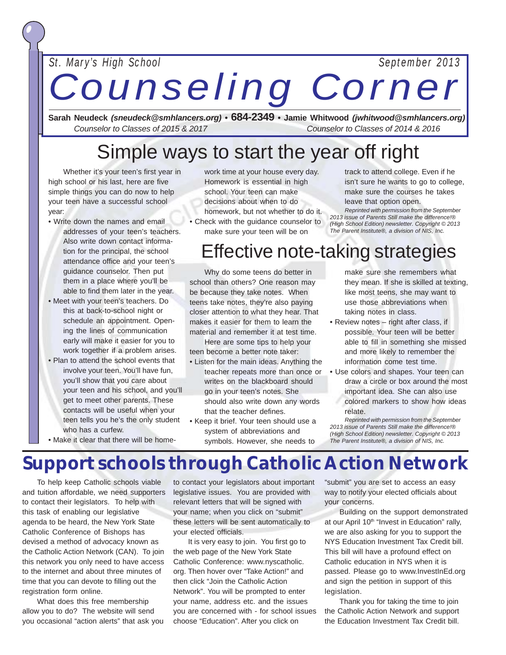*St. Mary's High School September 2013*

*Counseling Corner*

<sup>8</sup> **Currents** September 2013

**Sarah Neudeck** *(sneudeck@smhlancers.org) •* **684-2349 • Jamie Whitwood** *(jwhitwood@smhlancers.org) Counselor to Classes of 2015 & 2017 Counselor to Classes of 2014 & 2016*

### Simple ways to start the year off right

Whether it's your teen's first year in high school or his last, here are five simple things you can do now to help your teen have a successful school year:

- Write down the names and email addresses of your teen's teachers. Also write down contact information for the principal, the school attendance office and your teen's guidance counselor. Then put them in a place where you'll be able to find them later in the year.
- Meet with your teen's teachers. Do this at back-to-school night or schedule an appointment. Opening the lines of communication early will make it easier for you to work together if a problem arises.
- Plan to attend the school events that involve your teen. You'll have fun, you'll show that you care about your teen and his school, and you'll get to meet other parents. These contacts will be useful when your teen tells you he's the only student who has a curfew.
- work time at your house every day. Homework is essential in high school. Your teen can make decisions about when to do homework, but not whether to do it.
- Check with the guidance counselor to make sure your teen will be on

track to attend college. Even if he isn't sure he wants to go to college, make sure the courses he takes leave that option open.

*Reprinted with permission from the September 2013 issue of Parents Still make the difference!® (High School Edition) newsletter. Copyright © 2013 The Parent Institute®, a division of NIS, Inc.*

### Effective note-taking strategies

Why do some teens do better in school than others? One reason may be because they take notes. When teens take notes, they're also paying closer attention to what they hear. That makes it easier for them to learn the material and remember it at test time.

Here are some tips to help your teen become a better note taker:

- Listen for the main ideas. Anything the teacher repeats more than once or writes on the blackboard should go in your teen's notes. She should also write down any words that the teacher defines.
- Keep it brief. Your teen should use a system of abbreviations and symbols. However, she needs to

make sure she remembers what they mean. If she is skilled at texting, like most teens, she may want to use those abbreviations when taking notes in class.

- Review notes right after class, if possible. Your teen will be better able to fill in something she missed and more likely to remember the information come test time.
- Use colors and shapes. Your teen can draw a circle or box around the most important idea. She can also use colored markers to show how ideas relate.

*Reprinted with permission from the September 2013 issue of Parents Still make the difference!® (High School Edition) newsletter. Copyright © 2013 The Parent Institute®, a division of NIS, Inc.*

#### • Make it clear that there will be home-

#### **Support schools through Catholic Action Network**

To help keep Catholic schools viable and tuition affordable, we need supporters to contact their legislators. To help with this task of enabling our legislative agenda to be heard, the New York State Catholic Conference of Bishops has devised a method of advocacy known as the Catholic Action Network (CAN). To join this network you only need to have access to the internet and about three minutes of time that you can devote to filling out the registration form online.

What does this free membership allow you to do? The website will send you occasional "action alerts" that ask you

to contact your legislators about important legislative issues. You are provided with relevant letters that will be signed with your name; when you click on "submit" these letters will be sent automatically to your elected officials.

It is very easy to join. You first go to the web page of the New York State Catholic Conference: www.nyscatholic. org. Then hover over "Take Action!" and then click "Join the Catholic Action Network". You will be prompted to enter your name, address etc. and the issues you are concerned with - for school issues choose "Education". After you click on

"submit" you are set to access an easy way to notify your elected officials about your concerns.

Building on the support demonstrated at our April 10<sup>th</sup> "Invest in Education" rally, we are also asking for you to support the NYS Education Investment Tax Credit bill. This bill will have a profound effect on Catholic education in NYS when it is passed. Please go to www.InvestInEd.org and sign the petition in support of this legislation.

Thank you for taking the time to join the Catholic Action Network and support the Education Investment Tax Credit bill.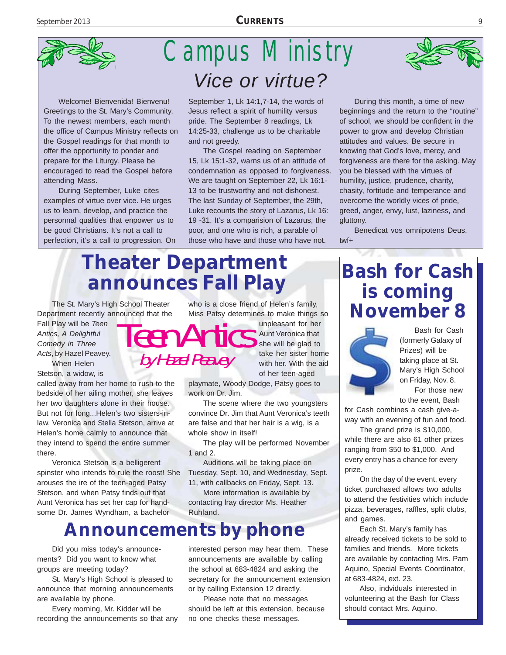

Welcome! Bienvenida! Bienvenu! Greetings to the St. Mary's Community. To the newest members, each month the office of Campus Ministry reflects on the Gospel readings for that month to offer the opportunity to ponder and prepare for the Liturgy. Please be encouraged to read the Gospel before attending Mass.

During September, Luke cites examples of virtue over vice. He urges us to learn, develop, and practice the personnal qualities that enpower us to be good Christians. It's not a call to perfection, it's a call to progression. On

### Campus Ministry *Vice or virtue?*

September 1, Lk 14:1,7-14, the words of Jesus reflect a spirit of humility versus pride. The September 8 readings, Lk 14:25-33, challenge us to be charitable and not greedy.

The Gospel reading on September 15, Lk 15:1-32, warns us of an attitude of condemnation as opposed to forgiveness. We are taught on September 22, Lk 16:1- 13 to be trustworthy and not dishonest. The last Sunday of September, the 29th, Luke recounts the story of Lazarus, Lk 16: 19 -31. It's a comparision of Lazarus, the poor, and one who is rich, a parable of those who have and those who have not.

### **Theater Department announces Fall Play**

by Hazel Peavey

The St. Mary's High School Theater Department recently announced that the

Fall Play will be *Teen Antics, A Delightful Comedy in Three Acts*, by Hazel Peavey. When Helen Stetson, a widow, is

called away from her home to rush to the bedside of her ailing mother, she leaves her two daughters alone in their house. But not for long...Helen's two sisters-inlaw, Veronica and Stella Stetson, arrive at Helen's home calmly to announce that they intend to spend the entire summer there.

Veronica Stetson is a belligerent spinster who intends to rule the roost! She arouses the ire of the teen-aged Patsy Stetson, and when Patsy finds out that Aunt Veronica has set her cap for handsome Dr. James Wyndham, a bachelor

who is a close friend of Helen's family, Miss Patsy determines to make things so

Teen Antics unpleasant for her Aunt Veronica that she will be glad to take her sister home with her. With the aid of her teen-aged

> playmate, Woody Dodge, Patsy goes to work on Dr. Jim.

The scene where the two youngsters convince Dr. Jim that Aunt Veronica's teeth are false and that her hair is a wig, is a whole show in itself!

The play will be performed November 1 and 2.

Auditions will be taking place on Tuesday, Sept. 10, and Wednesday, Sept.

11, with callbacks on Friday, Sept. 13.

More information is available by contacting lray director Ms. Heather Ruhland.

#### **Announcements by phone**

Did you miss today's announcements? Did you want to know what groups are meeting today?

St. Mary's High School is pleased to announce that morning announcements are available by phone.

Every morning, Mr. Kidder will be recording the announcements so that any interested person may hear them. These

announcements are available by calling the school at 683-4824 and asking the secretary for the announcement extension or by calling Extension 12 directly.

Please note that no messages should be left at this extension, because no one checks these messages.



Benedicat vos omnipotens Deus. twf+

### **Bash for Cash is coming November 8**



Bash for Cash (formerly Galaxy of Prizes) will be taking place at St. Mary's High School on Friday, Nov. 8. For those new to the event, Bash

for Cash combines a cash give-away with an evening of fun and food.

The grand prize is \$10,000, while there are also 61 other prizes ranging from \$50 to \$1,000. And every entry has a chance for every prize.

On the day of the event, every ticket purchased allows two adults to attend the festivities which include pizza, beverages, raffles, split clubs, and games.

Each St. Mary's family has already received tickets to be sold to families and friends. More tickets are available by contacting Mrs. Pam Aquino, Special Events Coordinator, at 683-4824, ext. 23.

Also, indviduals interested in volunteering at the Bash for Class should contact Mrs. Aquino.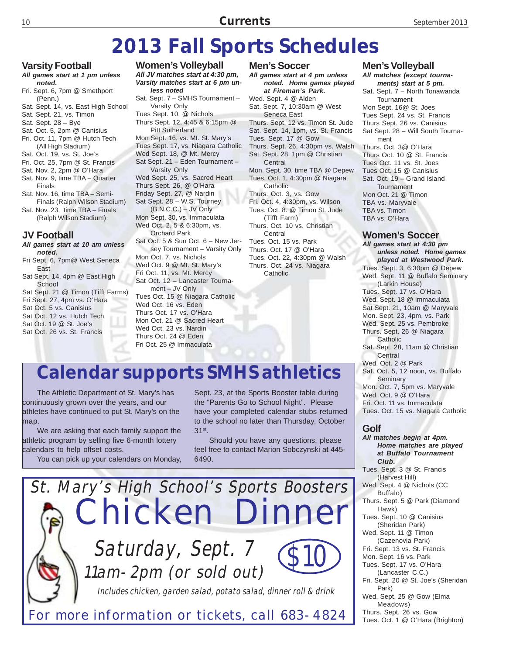### **2013 Fall Sports Schedules**

**Varsity Football**

- *All games start at 1 pm unless noted.*
- Fri. Sept. 6, 7pm @ Smethport (Penn.)
- Sat. Sept. 14, vs. East High School
- Sat. Sept. 21, vs. Timon
- Sat. Sept. 28 Bye
- Sat. Oct. 5, 2pm @ Canisius Fri. Oct. 11, 7pm @ Hutch Tech
- (All High Stadium)
- Sat. Oct. 19, vs. St. Joe's
- Fri. Oct. 25, 7pm @ St. Francis
- Sat. Nov. 2, 2pm @ O'Hara
- Sat. Nov. 9, time TBA Quarter Finals
- Sat. Nov. 16, time TBA Semi-Finals (Ralph Wilson Stadium)
- Sat. Nov. 23, time TBA Finals (Ralph Wilson Stadium)

#### **JV Football**

- *All games start at 10 am unless noted.*
- Fri Sept. 6, 7pm@ West Seneca East
- Sat Sept. 14, 4pm @ East High **School**
- Sat Sept. 21 @ Timon (Tifft Farms) Fri Sept. 27, 4pm vs. O'Hara
- Sat Oct. 5 vs. Canisius
- Sat Oct. 12 vs. Hutch Tech
- Sat Oct. 19 @ St. Joe's
- Sat Oct. 26 vs. St. Francis

*All JV matches start at 4:30 pm, Varsity matches start at 6 pm unless noted* Sat. Sept. 7 – SMHS Tournament – Varsity Only Tues Sept. 10, @ Nichols Thurs Sept. 12, 4:45 & 6:15pm @ Pitt Sutherland Mon Sept. 16, vs. Mt. St. Mary's Tues Sept. 17, vs. Niagara Catholic Wed Sept. 18, @ Mt. Mercy Sat Sept. 21 – Eden Tournament – Varsity Only Wed Sept. 25, vs. Sacred Heart Thurs Sept. 26, @ O'Hara Friday Sept. 27, @ Nardin Sat Sept. 28 – W.S. Tourney (B.N.C.C.) – JV Only Mon Sept. 30, vs. Immaculata Wed Oct. 2, 5 & 6:30pm, vs. Orchard Park Sat Oct. 5 & Sun Oct. 6 – New Jersey Tournament – Varsity Only Mon Oct. 7, vs. Nichols Wed Oct. 9 @ Mt. St. Mary's Fri Oct. 11, vs. Mt. Mercy Sat Oct. 12 – Lancaster Tournament – JV Only Tues Oct. 15 @ Niagara Catholic Wed Oct. 16 vs. Eden Thurs Oct. 17 vs. O'Hara Mon Oct. 21 @ Sacred Heart Wed Oct. 23 vs. Nardin

**Women's Volleyball**

**Men's Soccer** *All games start at 4 pm unless noted. Home games played at Fireman's Park.* Wed. Sept. 4 @ Alden Sat. Sept. 7, 10:30am @ West Seneca East Thurs. Sept. 12 vs. Timon St. Jude Sat. Sept. 14, 1pm, vs. St. Francis Tues. Sept. 17 @ Gow Thurs. Sept. 26, 4:30pm vs. Walsh Sat. Sept. 28, 1pm @ Christian Central Mon. Sept. 30, time TBA @ Depew Tues. Oct. 1, 4:30pm @ Niagara Catholic Thurs. Oct. 3, vs. Gow Fri. Oct. 4, 4:30pm, vs. Wilson Tues. Oct. 8. @ Timon St. Jude (Tifft Farm) Thurs. Oct. 10 vs. Christian **Central** Tues. Oct. 15 vs. Park Thurs. Oct. 17 @ O'Hara Tues. Oct. 22, 4:30pm @ Walsh Thurs. Oct. 24 vs. Niagara **Catholic** 

#### **Calendar supports SMHS athletics**

Thurs Oct. 24 @ Eden Fri Oct. 25 @ Immaculata

The Athletic Department of St. Mary's has continuously grown over the years, and our athletes have continued to put St. Mary's on the map.

We are asking that each family support the athletic program by selling five 6-month lottery calendars to help offset costs.

You can pick up your calendars on Monday,

Sept. 23, at the Sports Booster table during the "Parents Go to School Night". Please have your completed calendar stubs returned to the school no later than Thursday, October 31st.

Should you have any questions, please feel free to contact Marion Sobczynski at 445- 6490.



#### **Men's Volleyball**

*All matches (except tournaments) start at 5 pm.* Sat. Sept. 7 – North Tonawanda

Tournament Mon Sept. 16@ St. Joes Tues Sept. 24 vs. St. Francis Thurs Sept. 26 vs. Canisius Sat Sept. 28 – Will South Tournament Thurs. Oct. 3@ O'Hara Thurs Oct. 10 @ St. Francis Tues Oct. 11 vs. St. Joes Tues Oct. 15 @ Canisius Sat. Oct. 19 – Grand Island Tournament Mon Oct. 21 @ Timon TBA vs. Maryvale TBA vs. Timon TBA vs. O'Hara

#### **Women's Soccer**

*All games start at 4:30 pm unless noted. Home games played at Westwood Park.* Tues. Sept. 3, 6:30pm @ Depew Wed. Sept. 11 @ Buffalo Seminary (Larkin House) Tues. Sept. 17 vs. O'Hara Wed. Sept. 18 @ Immaculata Sat Sept. 21, 10am @ Maryvale Mon. Sept. 23, 4pm, vs. Park Wed. Sept. 25 vs. Pembroke Thurs. Sept. 26 @ Niagara Catholic Sat. Sept. 28, 11am @ Christian **Central** Wed. Oct. 2 @ Park Sat. Oct. 5, 12 noon, vs. Buffalo Seminary Mon. Oct. 7, 5pm vs. Maryvale Wed. Oct. 9 @ O'Hara Fri. Oct. 11 vs. Immaculata

Tues. Oct. 15 vs. Niagara Catholic

#### **Golf**

*All matches begin at 4pm. Home matches are played at Buffalo Tournament Club.* Tues. Sept. 3 @ St. Francis (Harvest Hill) Wed. Sept. 4 @ Nichols (CC Buffalo) Thurs. Sept. 5 @ Park (Diamond Hawk) Tues. Sept. 10 @ Canisius (Sheridan Park) Wed. Sept. 11 @ Timon (Cazenovia Park) Fri. Sept. 13 vs. St. Francis Mon. Sept. 16 vs. Park Tues. Sept. 17 vs. O'Hara (Lancaster C.C.) Fri. Sept. 20 @ St. Joe's (Sheridan Park) Wed. Sept. 25 @ Gow (Elma Meadows) Thurs. Sept. 26 vs. Gow Tues. Oct. 1 @ O'Hara (Brighton)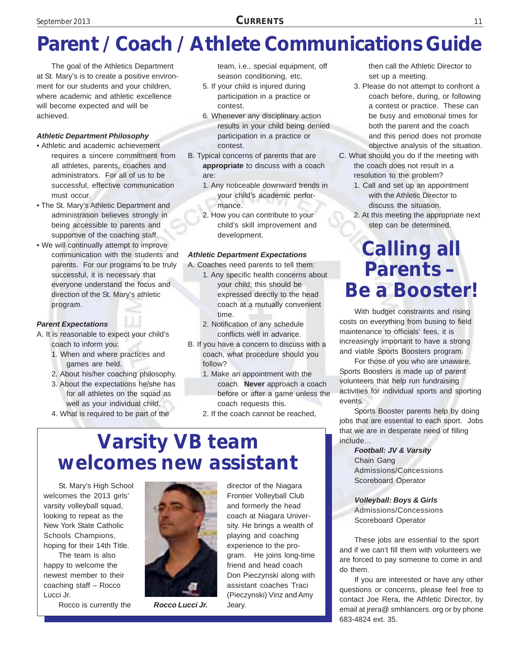### **Parent / Coach / Athlete Communications Guide**

The goal of the Athletics Department at St. Mary's is to create a positive environment for our students and your children, where academic and athletic excellence will become expected and will be achieved.

#### *Athletic Department Philosophy*

- Athletic and academic achievement requires a sincere commitment from all athletes, parents, coaches and administrators. For all of us to be successful, effective communication must occur.
- The St. Mary's Athletic Department and administration believes strongly in being accessible to parents and supportive of the coaching staff.
- We will continually attempt to improve communication with the students and parents. For our programs to be truly successful, it is necessary that everyone understand the focus and direction of the St. Mary's athletic program.

#### *Parent Expectations*

- A. It is reasonable to expect your child's coach to inform you:
	- 1. When and where practices and games are held.
	- 2. About his/her coaching philosophy.
	- 3. About the expectations he/she has for all athletes on the squad as well as your individual child.
	- 4. What is required to be part of the

team, i.e., special equipment, off season conditioning, etc.

- 5. If your child is injured during participation in a practice or contest.
- 6. Whenever any disciplinary action results in your child being denied participation in a practice or contest.
- B. Typical concerns of parents that are **appropriate** to discuss with a coach are:
	- 1. Any noticeable downward trends in your child's academic performance.
	- 2. How you can contribute to your child's skill improvement and development.

#### *Athletic Department Expectations*

- A. Coaches need parents to tell them:
	- 1. Any specific health concerns about your child; this should be expressed directly to the head coach at a mutually convenient time.
	- 2. Notification of any schedule conflicts well in advance.
- B. If you have a concern to discuss with a coach, what procedure should you follow?
	- 1. Make an appointment with the coach. **Never** approach a coach before or after a game unless the coach requests this.
	- 2. If the coach cannot be reached,

### **Varsity VB team welcomes new assistant**

St. Mary's High School welcomes the 2013 girls' varsity volleyball squad, looking to repeat as the New York State Catholic Schools Champions, hoping for their 14th Title.

The team is also happy to welcome the newest member to their coaching staff – Rocco Lucci Jr.

Rocco is currently the



*Rocco Lucci Jr.* Jeary.

director of the Niagara Frontier Volleyball Club and formerly the head coach at Niagara University. He brings a wealth of playing and coaching experience to the program. He joins long-time friend and head coach Don Pieczynski along with assistant coaches Traci (Pieczynski) Vinz and Amy

then call the Athletic Director to set up a meeting.

- 3. Please do not attempt to confront a coach before, during, or following a contest or practice. These can be busy and emotional times for both the parent and the coach and this period does not promote objective analysis of the situation.
- C. What should you do if the meeting with the coach does not result in a resolution to the problem?
	- 1. Call and set up an appointment with the Athletic Director to discuss the situation.
	- 2. At this meeting the appropriate next step can be determined.

### **Calling all Parents – Be a Booster!**

With budget constraints and rising costs on everything from busing to field maintenance to officials' fees, it is increasingly important to have a strong and viable Sports Boosters program.

For those of you who are unaware, Sports Boosters is made up of parent volunteers that help run fundraising activities for individual sports and sporting events.

Sports Booster parents help by doing jobs that are essential to each sport. Jobs that we are in desperate need of filling include…

> *Football: JV & Varsity* Chain Gang Admissions/Concessions Scoreboard Operator

*Volleyball: Boys & Girls* Admissions/Concessions Scoreboard Operator

These jobs are essential to the sport and if we can't fill them with volunteers we are forced to pay someone to come in and do them.

If you are interested or have any other questions or concerns, please feel free to contact Joe Rera, the Athletic Director, by email at jrera@ smhlancers. org or by phone 683-4824 ext. 35.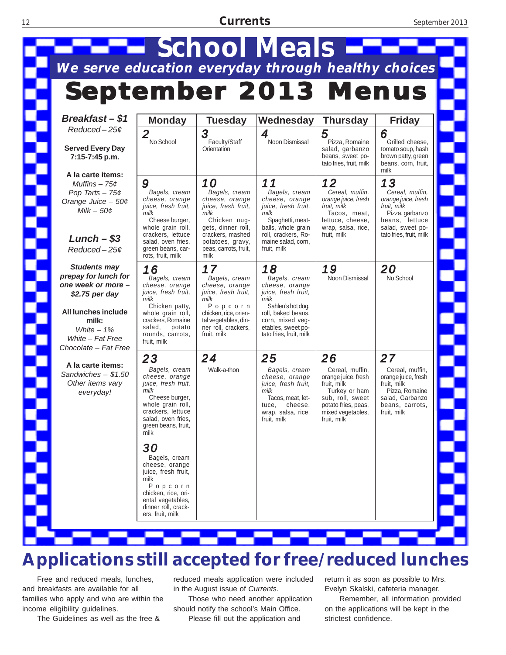#### 12 **Currents** September 2013



#### **Applications still accepted for free/reduced lunches**

Free and reduced meals, lunches, and breakfasts are available for all families who apply and who are within the income eligibility guidelines.

The Guidelines as well as the free &

reduced meals application were included in the August issue of *Currents*.

Those who need another application should notify the school's Main Office. Please fill out the application and

return it as soon as possible to Mrs. Evelyn Skalski, cafeteria manager.

Remember, all information provided on the applications will be kept in the strictest confidence.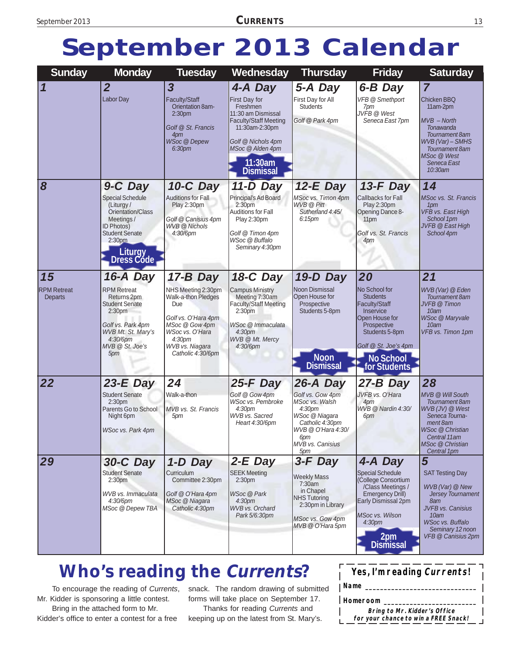### **September 2013 Calendar**

| <b>Sunday</b>                       | <b>Monday</b>                                                                                                                                                                    | <b>Tuesday</b>                                                                                                                                                                    | Wednesday                                                                                                                                                                                   | <b>Thursday</b>                                                                                                                                       | <b>Friday</b>                                                                                                                                                                                | <b>Saturday</b>                                                                                                                                                                                 |
|-------------------------------------|----------------------------------------------------------------------------------------------------------------------------------------------------------------------------------|-----------------------------------------------------------------------------------------------------------------------------------------------------------------------------------|---------------------------------------------------------------------------------------------------------------------------------------------------------------------------------------------|-------------------------------------------------------------------------------------------------------------------------------------------------------|----------------------------------------------------------------------------------------------------------------------------------------------------------------------------------------------|-------------------------------------------------------------------------------------------------------------------------------------------------------------------------------------------------|
| 1                                   | $\overline{2}$<br><b>Labor Day</b>                                                                                                                                               | $\overline{\mathbf{3}}$<br><b>Faculty/Staff</b><br>Orientation 8am-<br>2:30 <sub>pm</sub><br>Golf @ St. Francis<br>4pm<br>WSoc @ Depew                                            | 4-A Day<br>First Day for<br>Freshmen<br>11:30 am Dismissal<br><b>Faculty/Staff Meeting</b><br>11:30am-2:30pm<br>Golf @ Nichols 4pm                                                          | 5-A Day<br>First Day for All<br><b>Students</b><br>Golf @ Park 4pm                                                                                    | 6-B Day<br><b>VFB @ Smethport</b><br>7pm<br>JVFB @ West<br>Seneca East 7pm                                                                                                                   | $\overline{7}$<br><b>Chicken BBQ</b><br>11am-2pm<br>$MVB - North$<br>Tonawanda<br>Tournament 8am<br>WVB (Var) - SMHS                                                                            |
| 8                                   |                                                                                                                                                                                  | 6:30pm                                                                                                                                                                            | MSoc @ Alden 4pm<br>11:30am<br><b>Dismissal</b>                                                                                                                                             |                                                                                                                                                       |                                                                                                                                                                                              | Tournament 8am<br>MSoc @ West<br>Seneca East<br>10:30am<br>14                                                                                                                                   |
|                                     | 9-C Day<br><b>Special Schedule</b><br>(Liturgy/<br>Orientation/Class<br>Meetings/<br><b>ID Photos)</b><br><b>Student Senate</b><br>2:30 <sub>pm</sub><br>Liturgy<br>Dress Code   | 10-C Day<br><b>Auditions for Fall</b><br>Play 2:30pm<br>Golf @ Canisius 4pm<br><b>WVB</b> @ Nichols<br>4:30/6pm                                                                   | 11-D Day<br>Principal's Ad Board<br>2:30 <sub>pm</sub><br>Auditions for Fall<br>Play 2:30pm<br>Golf @ Timon 4pm<br><b>WSoc</b> @ Buffalo<br>Seminary 4:30pm                                 | $12-E$ Day<br>MSoc vs. Timon 4pm<br><b>WVB</b> @ Pitt<br>Sutherland 4:45/<br>6:15 <sub>pm</sub>                                                       | $13-F$ Day<br>Callbacks for Fall<br>Play 2:30pm<br>Opening Dance 8-<br>11 <sub>pm</sub><br>Golf vs. St. Francis<br>4pm                                                                       | MSoc vs. St. Francis<br>1pm<br>VFB vs. East High<br>School 1pm<br>JVFB @ East High<br>School 4pm                                                                                                |
| 15<br><b>RPM Retreat</b><br>Departs | 16-A Day<br><b>RPM Retreat</b><br>Returns 2pm<br><b>Student Senate</b><br>2:30 <sub>pm</sub><br>Golf vs. Park 4pm<br>WVB Mt. St. Mary's<br>$4:30/6$ pm<br>MVB @ St. Joe's<br>5pm | 17-B Day<br>NHS Meeting 2:30pm<br><b>Walk-a-thon Pledges</b><br>Due<br>Golf vs. O'Hara 4pm<br>MSoc @ Gow 4pm<br>WSoc vs. O'Hara<br>4:30pm<br>WVB vs. Niagara<br>Catholic 4:30/6pm | <b>18-C Day</b><br><b>Campus Ministry</b><br>Meeting 7:30am<br><b>Faculty/Staff Meeting</b><br>2:30 <sub>pm</sub><br>WSoc @ Immaculata<br>4:30 <sub>pm</sub><br>WVB @ Mt. Mercy<br>4:30/6pm | 19-D Day<br>Noon Dismissal<br>Open House for<br>Prospective<br>Students 5-8pm<br><b>Noon</b><br><b>Dismissal</b>                                      | 20<br>No School for<br><b>Students</b><br>Faculty/Staff<br>Inservice<br>Open House for<br>Prospective<br>Students 5-8pm<br>Golf @ St. Joe's 4pm<br><b>No School</b><br>for Students          | 21<br>WVB (Var) @ Eden<br>Tournament 8am<br><b>JVFB</b> @ Timon<br>10am<br><b>WSoc @ Maryvale</b><br>10am<br>VFB vs. Timon 1pm                                                                  |
| 22                                  | $23-E$ Day<br><b>Student Senate</b><br>2:30 <sub>pm</sub><br>Parents Go to School<br>Night 6pm<br><b>WSoc vs. Park 4pm</b>                                                       | 24<br>Walk-a-thon<br>MVB vs. St. Francis<br>5pm                                                                                                                                   | $25-F$ Day<br>Golf @ Gow 4pm<br><b>WSoc vs. Pembroke</b><br>4:30pm<br>WVB vs. Sacred<br>Heart 4:30/6pm                                                                                      | 26-A Day<br>Golf vs. Gow 4pm<br>MSoc vs. Walsh<br>4:30pm<br>WSoc @ Niagara<br>Catholic 4:30pm<br>WVB @ O'Hara 4:30/<br>6pm<br>MVB vs. Canisius<br>5pm | 27-B Day<br>JVFB vs. O'Hara<br>4pm<br>WVB @ Nardin 4:30/<br>6pm                                                                                                                              | 28<br>MVB @ Will South<br>Tournament 8am<br>WVB (JV) @ West<br>Seneca Tourna-<br>ment 8am<br>WSoc @ Christian<br>Central 11am<br>MSoc @ Christian<br>Central 1pm                                |
| 29                                  | 30-C Day<br><b>Student Senate</b><br>2:30pm<br>WVB vs. Immaculata<br>$4:30/6$ pm<br>MSoc @ Depew TBA                                                                             | 1-D Day<br><b>Curriculum</b><br>Committee 2:30pm<br>Golf @ O'Hara 4pm<br>MSoc @ Niagara<br>Catholic 4:30pm                                                                        | $2-E$ Day<br><b>SEEK Meeting</b><br>2:30 <sub>pm</sub><br><b>WSoc</b> @ Park<br>4:30 <sub>pm</sub><br><b>WVB vs. Orchard</b><br>Park 5/6:30pm                                               | 3-F Day<br><b>Weekly Mass</b><br>7:30am<br>in Chapel<br><b>NHS Tutoring</b><br>2:30pm in Library<br>MSoc vs. Gow 4pm<br>MVB @ O'Hara 5pm              | 4-A Day<br><b>Special Schedule</b><br>College Consortium<br>/Class Meetings /<br>Emergency Drill)<br>Early Dismissal 2pm<br>MSoc vs. Wilson<br>4:30pm<br>2 <sub>pm</sub><br><b>Dismissal</b> | 5<br><b>SAT Testing Day</b><br>WVB (Var) @ New<br><b>Jersey Tournament</b><br>8am<br>JVFB vs. Canisius<br>10 <sub>am</sub><br><b>WSoc vs. Buffalo</b><br>Seminary 12 noon<br>VFB @ Canisius 2pm |

#### **Who's reading the Currents?**

To encourage the reading of *Currents*, Mr. Kidder is sponsoring a little contest. Bring in the attached form to Mr. Kidder's office to enter a contest for a free

snack. The random drawing of submitted forms will take place on September 17. Thanks for reading *Currents* and keeping up on the latest from St. Mary's.

| Yes, I'm reading Currents!   |  |
|------------------------------|--|
| $ $ Name $\_\_$              |  |
| Homeroom                     |  |
| Bring to Mr. Kidder's Office |  |

**for your chance to win a FREE Snack!**